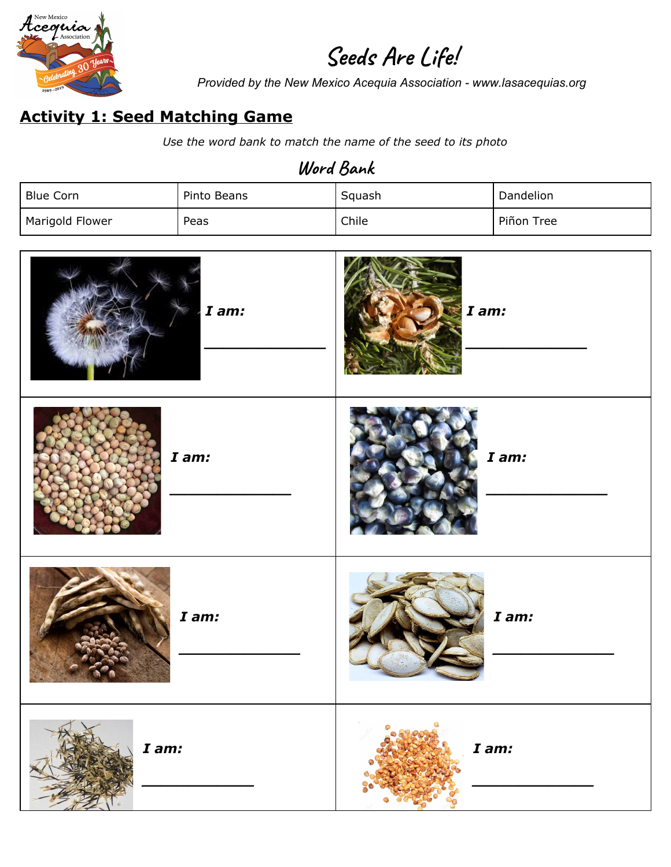

# **Seeds Are Life!**

*Provided by the New Mexico Acequia Association - www.lasacequias.org*

## **Activity 1: Seed Matching Game**

*Use the word bank to match the name of the seed to its photo*

## **Word Bank**

| <b>Blue Corn</b> | Pinto Beans | Squash | Dandelion  |
|------------------|-------------|--------|------------|
| Marigold Flower  | Peas        | Chile  | Piñon Tree |

| I am: | I am: |
|-------|-------|
| I am: | I am: |
| I am: | I am: |
| I am: | I am: |